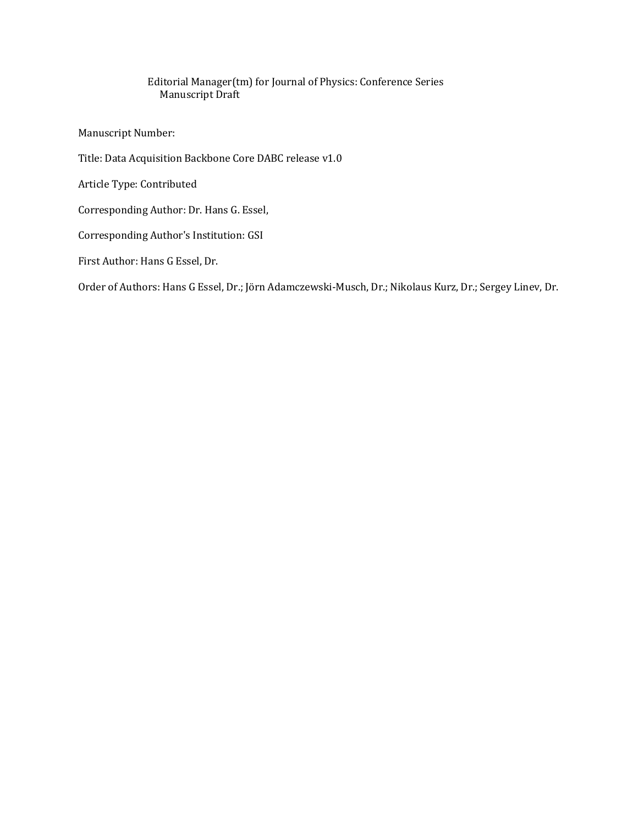# Editorial Manager(tm) for Journal of Physics: Conference Series Manuscript Draft

Manuscript Number:

Title: Data Acquisition Backbone Core DABC release v1.0

Article Type: Contributed

Corresponding Author: Dr. Hans G. Essel,

Corresponding Author's Institution: GSI

First Author: Hans G Essel, Dr.

Order of Authors: Hans G Essel, Dr.; Jörn Adamczewski-Musch, Dr.; Nikolaus Kurz, Dr.; Sergey Linev, Dr.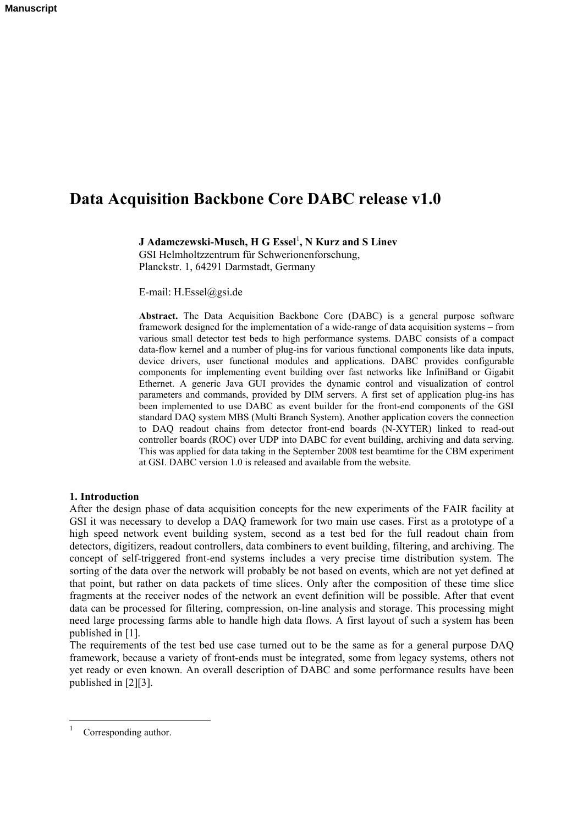# **Data Acquisition Backbone Core DABC release v1.0**

**J Adamczewski-Musch, H G Essel<sup>1</sup>, N Kurz and S Linev** GSI Helmholtzzentrum für Schwerionenforschung, Planckstr. 1, 64291 Darmstadt, Germany

E-mail: H.Essel@gsi.de

**Abstract.** The Data Acquisition Backbone Core (DABC) is a general purpose software framework designed for the implementation of a wide-range of data acquisition systems – from various small detector test beds to high performance systems. DABC consists of a compact data-flow kernel and a number of plug-ins for various functional components like data inputs, device drivers, user functional modules and applications. DABC provides configurable components for implementing event building over fast networks like InfiniBand or Gigabit Ethernet. A generic Java GUI provides the dynamic control and visualization of control parameters and commands, provided by DIM servers. A first set of application plug-ins has been implemented to use DABC as event builder for the front-end components of the GSI standard DAQ system MBS (Multi Branch System). Another application covers the connection to DAQ readout chains from detector front-end boards (N-XYTER) linked to read-out controller boards (ROC) over UDP into DABC for event building, archiving and data serving. This was applied for data taking in the September 2008 test beamtime for the CBM experiment at GSI. DABC version 1.0 is released and available from the website.

#### **1. Introduction**

After the design phase of data acquisition concepts for the new experiments of the FAIR facility at GSI it was necessary to develop a DAQ framework for two main use cases. First as a prototype of a high speed network event building system, second as a test bed for the full readout chain from detectors, digitizers, readout controllers, data combiners to event building, filtering, and archiving. The concept of self-triggered front-end systems includes a very precise time distribution system. The sorting of the data over the network will probably be not based on events, which are not yet defined at that point, but rather on data packets of time slices. Only after the composition of these time slice fragments at the receiver nodes of the network an event definition will be possible. After that event data can be processed for filtering, compression, on-line analysis and storage. This processing might need large processing farms able to handle high data flows. A first layout of such a system has been published in [1].

The requirements of the test bed use case turned out to be the same as for a general purpose DAQ framework, because a variety of front-ends must be integrated, some from legacy systems, others not yet ready or even known. An overall description of DABC and some performance results have been published in [2][3].

l

<sup>1</sup> Corresponding author.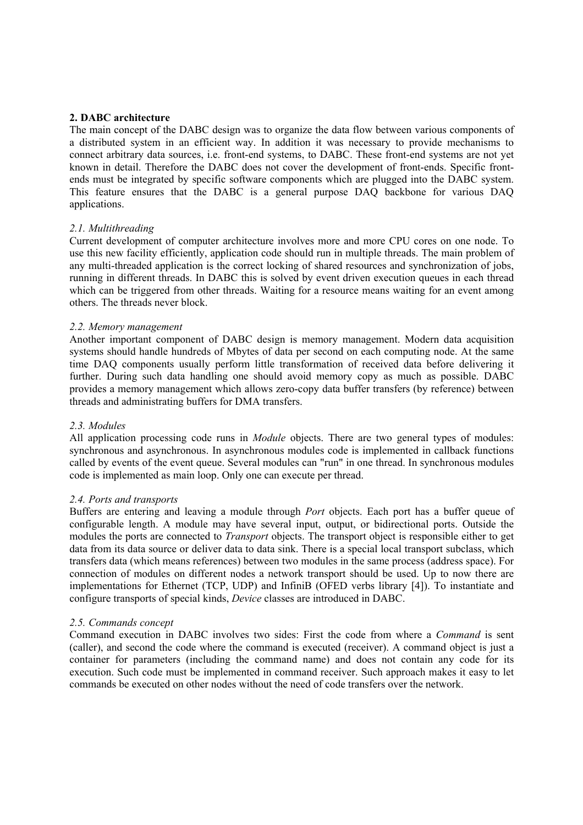# **2. DABC architecture**

The main concept of the DABC design was to organize the data flow between various components of a distributed system in an efficient way. In addition it was necessary to provide mechanisms to connect arbitrary data sources, i.e. front-end systems, to DABC. These front-end systems are not yet known in detail. Therefore the DABC does not cover the development of front-ends. Specific frontends must be integrated by specific software components which are plugged into the DABC system. This feature ensures that the DABC is a general purpose DAQ backbone for various DAQ applications.

# *2.1. Multithreading*

Current development of computer architecture involves more and more CPU cores on one node. To use this new facility efficiently, application code should run in multiple threads. The main problem of any multi-threaded application is the correct locking of shared resources and synchronization of jobs, running in different threads. In DABC this is solved by event driven execution queues in each thread which can be triggered from other threads. Waiting for a resource means waiting for an event among others. The threads never block.

# *2.2. Memory management*

Another important component of DABC design is memory management. Modern data acquisition systems should handle hundreds of Mbytes of data per second on each computing node. At the same time DAQ components usually perform little transformation of received data before delivering it further. During such data handling one should avoid memory copy as much as possible. DABC provides a memory management which allows zero-copy data buffer transfers (by reference) between threads and administrating buffers for DMA transfers.

# *2.3. Modules*

All application processing code runs in *Module* objects. There are two general types of modules: synchronous and asynchronous. In asynchronous modules code is implemented in callback functions called by events of the event queue. Several modules can "run" in one thread. In synchronous modules code is implemented as main loop. Only one can execute per thread.

# *2.4. Ports and transports*

Buffers are entering and leaving a module through *Port* objects. Each port has a buffer queue of configurable length. A module may have several input, output, or bidirectional ports. Outside the modules the ports are connected to *Transport* objects. The transport object is responsible either to get data from its data source or deliver data to data sink. There is a special local transport subclass, which transfers data (which means references) between two modules in the same process (address space). For connection of modules on different nodes a network transport should be used. Up to now there are implementations for Ethernet (TCP, UDP) and InfiniB (OFED verbs library [4]). To instantiate and configure transports of special kinds, *Device* classes are introduced in DABC.

# *2.5. Commands concept*

Command execution in DABC involves two sides: First the code from where a *Command* is sent (caller), and second the code where the command is executed (receiver). A command object is just a container for parameters (including the command name) and does not contain any code for its execution. Such code must be implemented in command receiver. Such approach makes it easy to let commands be executed on other nodes without the need of code transfers over the network.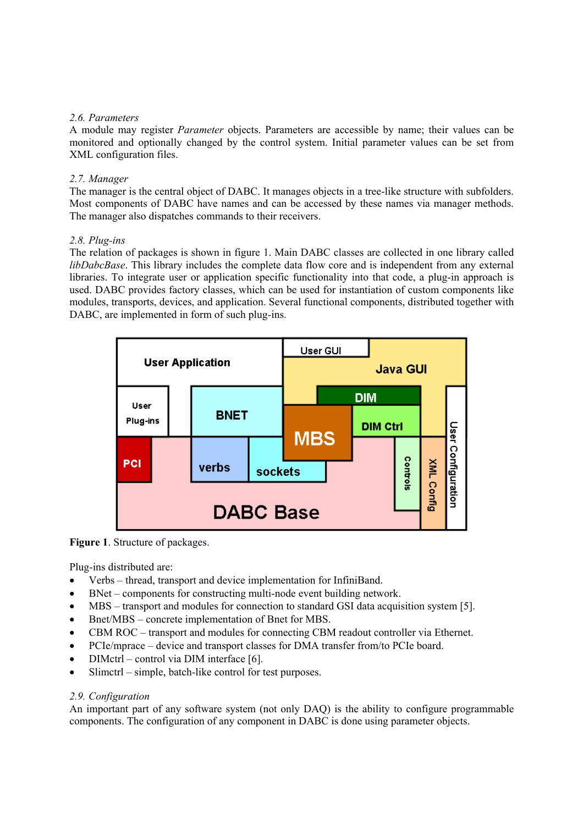# *2.6. Parameters*

A module may register *Parameter* objects. Parameters are accessible by name; their values can be monitored and optionally changed by the control system. Initial parameter values can be set from XML configuration files.

# *2.7. Manager*

The manager is the central object of DABC. It manages objects in a tree-like structure with subfolders. Most components of DABC have names and can be accessed by these names via manager methods. The manager also dispatches commands to their receivers.

# *2.8. Plug-ins*

The relation of packages is shown in figure 1. Main DABC classes are collected in one library called *libDabcBase*. This library includes the complete data flow core and is independent from any external libraries. To integrate user or application specific functionality into that code, a plug-in approach is used. DABC provides factory classes, which can be used for instantiation of custom components like modules, transports, devices, and application. Several functional components, distributed together with DABC, are implemented in form of such plug-ins.



**Figure 1**. Structure of packages.

Plug-ins distributed are:

- Verbs thread, transport and device implementation for InfiniBand.
- BNet components for constructing multi-node event building network.
- MBS transport and modules for connection to standard GSI data acquisition system [5].
- Bnet/MBS concrete implementation of Bnet for MBS.
- CBM ROC transport and modules for connecting CBM readout controller via Ethernet.
- PCIe/mprace device and transport classes for DMA transfer from/to PCIe board.
- DIMctrl control via DIM interface [6].
- Slimctrl simple, batch-like control for test purposes.

# *2.9. Configuration*

An important part of any software system (not only DAQ) is the ability to configure programmable components. The configuration of any component in DABC is done using parameter objects.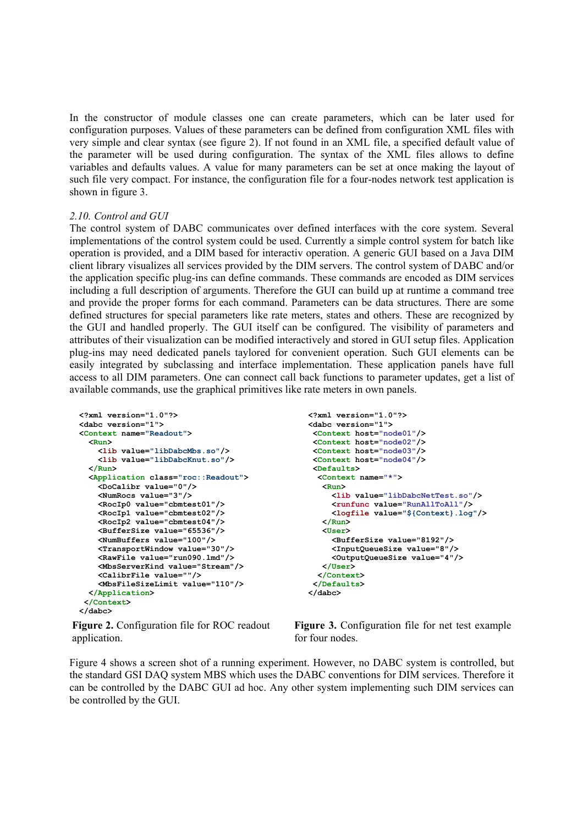In the constructor of module classes one can create parameters, which can be later used for configuration purposes. Values of these parameters can be defined from configuration XML files with very simple and clear syntax (see figure 2). If not found in an XML file, a specified default value of the parameter will be used during configuration. The syntax of the XML files allows to define variables and defaults values. A value for many parameters can be set at once making the layout of such file very compact. For instance, the configuration file for a four-nodes network test application is shown in figure 3.

#### *2.10. Control and GUI*

The control system of DABC communicates over defined interfaces with the core system. Several implementations of the control system could be used. Currently a simple control system for batch like operation is provided, and a DIM based for interactiv operation. A generic GUI based on a Java DIM client library visualizes all services provided by the DIM servers. The control system of DABC and/or the application specific plug-ins can define commands. These commands are encoded as DIM services including a full description of arguments. Therefore the GUI can build up at runtime a command tree and provide the proper forms for each command. Parameters can be data structures. There are some defined structures for special parameters like rate meters, states and others. These are recognized by the GUI and handled properly. The GUI itself can be configured. The visibility of parameters and attributes of their visualization can be modified interactively and stored in GUI setup files. Application plug-ins may need dedicated panels taylored for convenient operation. Such GUI elements can be easily integrated by subclassing and interface implementation. These application panels have full access to all DIM parameters. One can connect call back functions to parameter updates, get a list of available commands, use the graphical primitives like rate meters in own panels.

```
<?xml version="1.0"?> 
<dabc version="1"> 
<Context name="Readout"> 
   <Run> 
     <lib value="libDabcMbs.so"/> 
     <lib value="libDabcKnut.so"/> 
   </Run> 
   <Application class="roc::Readout"> 
     <DoCalibr value="0"/> 
     <NumRocs value="3"/> 
     <RocIp0 value="cbmtest01"/> 
     <RocIp1 value="cbmtest02"/> 
     <RocIp2 value="cbmtest04"/> 
     <BufferSize value="65536"/> 
     <NumBuffers value="100"/> 
     <TransportWindow value="30"/> 
     <RawFile value="run090.lmd"/> 
     <MbsServerKind value="Stream"/> 
     <CalibrFile value=""/> 
     <MbsFileSizeLimit value="110"/> 
   </Application> 
  </Context> 
</dabc>
```

```
<?xml version="1.0"?> 
<dabc version="1"> 
  <Context host="node01"/> 
  <Context host="node02"/> 
  <Context host="node03"/> 
  <Context host="node04"/> 
 <Defaults> 
   <Context name="*"> 
    <Run> 
      <lib value="libDabcNetTest.so"/> 
      <runfunc value="RunAllToAll"/> 
      <logfile value="${Context}.log"/> 
    </Run> 
   <User> 
      <BufferSize value="8192"/> 
      <InputQueueSize value="8"/> 
      <OutputQueueSize value="4"/> 
    </User> 
  </Context> 
 </Defaults> 
</dabc>
```
**Figure 2.** Configuration file for ROC readout application.

**Figure 3.** Configuration file for net test example for four nodes.

Figure 4 shows a screen shot of a running experiment. However, no DABC system is controlled, but the standard GSI DAQ system MBS which uses the DABC conventions for DIM services. Therefore it can be controlled by the DABC GUI ad hoc. Any other system implementing such DIM services can be controlled by the GUI.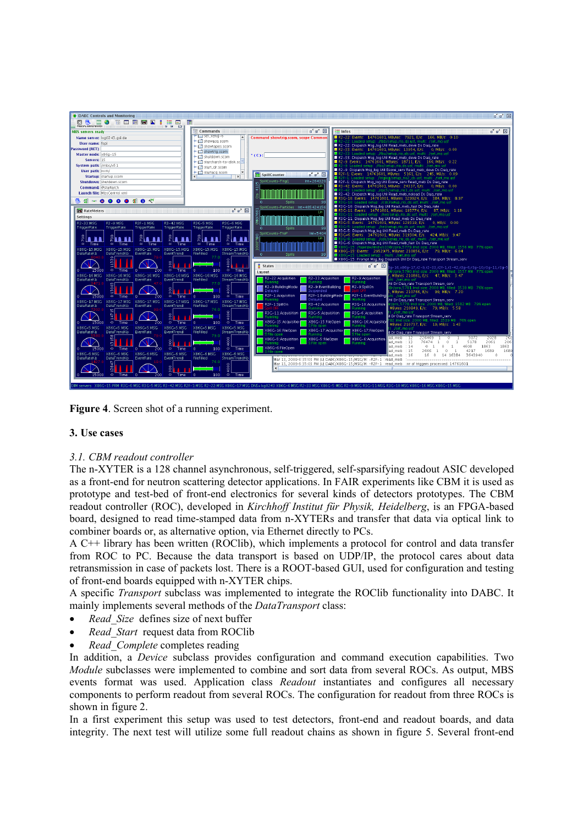

**Figure 4**. Screen shot of a running experiment.

# **3. Use cases**

# *3.1. CBM readout controller*

The n-XYTER is a 128 channel asynchronous, self-triggered, self-sparsifying readout ASIC developed as a front-end for neutron scattering detector applications. In FAIR experiments like CBM it is used as prototype and test-bed of front-end electronics for several kinds of detectors prototypes. The CBM readout controller (ROC), developed in *Kirchhoff Institut für Physik, Heidelberg*, is an FPGA-based board, designed to read time-stamped data from n-XYTERs and transfer that data via optical link to combiner boards or, as alternative option, via Ethernet directly to PCs.

A C++ library has been written (ROClib), which implements a protocol for control and data transfer from ROC to PC. Because the data transport is based on UDP/IP, the protocol cares about data retransmission in case of packets lost. There is a ROOT-based GUI, used for configuration and testing of front-end boards equipped with n-XYTER chips.

A specific *Transport* subclass was implemented to integrate the ROClib functionality into DABC. It mainly implements several methods of the *DataTransport* class:

- *Read\_Size* defines size of next buffer
- *Read\_Start* request data from ROClib
- *Read\_Complete* completes reading

In addition, a *Device* subclass provides configuration and command execution capabilities. Two *Module* subclasses were implemented to combine and sort data from several ROCs. As output, MBS events format was used. Application class *Readout* instantiates and configures all necessary components to perform readout from several ROCs. The configuration for readout from three ROCs is shown in figure 2.

In a first experiment this setup was used to test detectors, front-end and readout boards, and data integrity. The next test will utilize some full readout chains as shown in figure 5. Several front-end